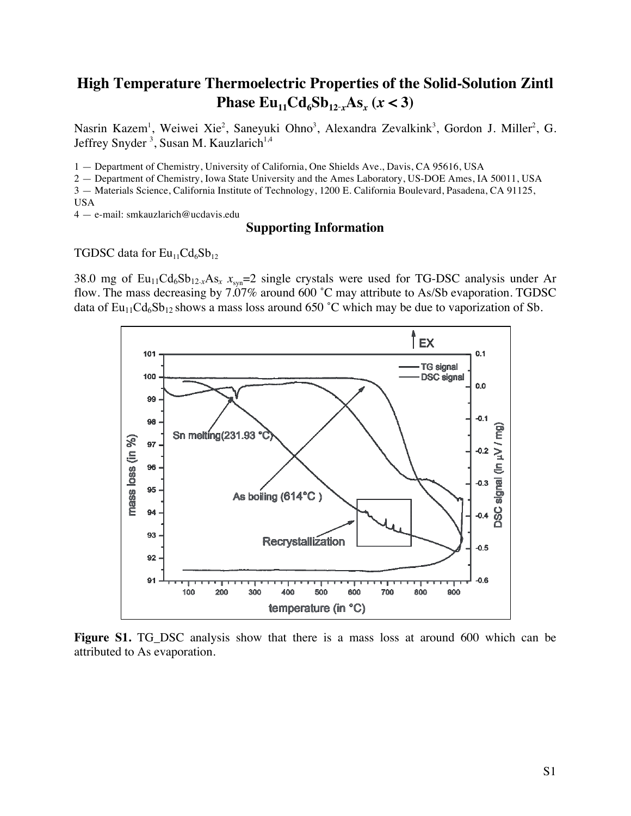## **High Temperature Thermoelectric Properties of the Solid-Solution Zintl Phase**  $Eu_{11}Cd_6Sb_{12-x}As_x(x < 3)$

Nasrin Kazem<sup>1</sup>, Weiwei Xie<sup>2</sup>, Saneyuki Ohno<sup>3</sup>, Alexandra Zevalkink<sup>3</sup>, Gordon J. Miller<sup>2</sup>, G. Jeffrey Snyder<sup>3</sup>, Susan M. Kauzlarich<sup>1,4</sup>

1 — Department of Chemistry, University of California, One Shields Ave., Davis, CA 95616, USA

2 — Department of Chemistry, Iowa State University and the Ames Laboratory, US-DOE Ames, IA 50011, USA 3 — Materials Science, California Institute of Technology, 1200 E. California Boulevard, Pasadena, CA 91125,

USA

4 — e-mail: smkauzlarich@ucdavis.edu

## **Supporting Information**

TGDSC data for  $Eu_{11}Cd_{6}Sb_{12}$ 

38.0 mg of Eu<sub>11</sub>Cd<sub>6</sub>Sb<sub>12-*x*</sub>As<sub>*x*</sub> *x*<sub>syn</sub>=2 single crystals were used for TG-DSC analysis under Ar flow. The mass decreasing by 7.07% around 600 ˚C may attribute to As/Sb evaporation. TGDSC data of  $Eu_{11}Cd_{6}Sb_{12}$  shows a mass loss around 650 °C which may be due to vaporization of Sb.



**Figure S1.** TG\_DSC analysis show that there is a mass loss at around 600 which can be attributed to As evaporation.